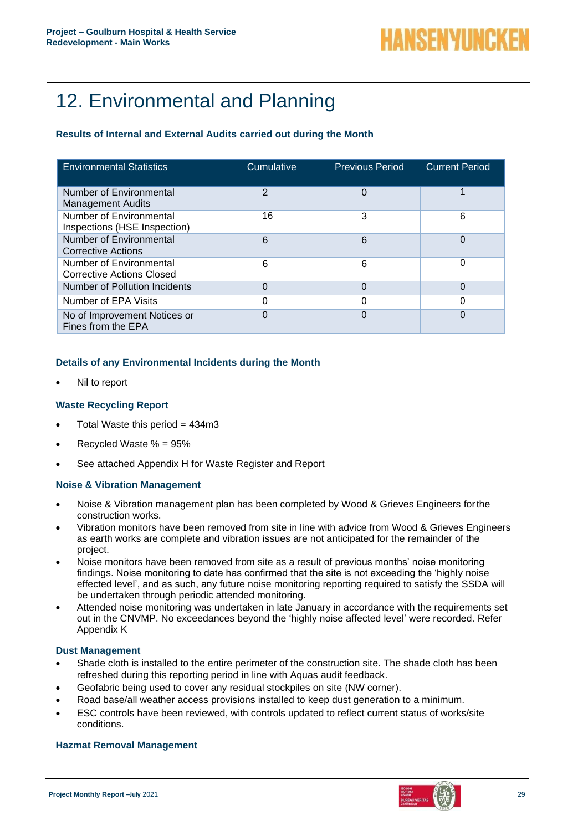# 12. Environmental and Planning

## **Results of Internal and External Audits carried out during the Month**

| <b>Environmental Statistics</b>                             | Cumulative     | <b>Previous Period</b> | <b>Current Period</b> |
|-------------------------------------------------------------|----------------|------------------------|-----------------------|
| Number of Environmental<br><b>Management Audits</b>         | $\overline{2}$ |                        |                       |
| Number of Environmental<br>Inspections (HSE Inspection)     | 16             | 3                      | 6                     |
| Number of Environmental<br>Corrective Actions               | 6              | 6                      | $\Omega$              |
| Number of Environmental<br><b>Corrective Actions Closed</b> | 6              | 6                      | 0                     |
| Number of Pollution Incidents                               | 0              |                        | 0                     |
| Number of EPA Visits                                        | 0              |                        | 0                     |
| No of Improvement Notices or<br>Fines from the EPA          | 0              |                        | $\Omega$              |

## **Details of any Environmental Incidents during the Month**

• Nil to report

## **Waste Recycling Report**

- Total Waste this period  $= 434 \text{ m}$ 3
- Recycled Waste % = 95%
- See attached Appendix H for Waste Register and Report

#### **Noise & Vibration Management**

- Noise & Vibration management plan has been completed by Wood & Grieves Engineers forthe construction works.
- Vibration monitors have been removed from site in line with advice from Wood & Grieves Engineers as earth works are complete and vibration issues are not anticipated for the remainder of the project.
- Noise monitors have been removed from site as a result of previous months' noise monitoring findings. Noise monitoring to date has confirmed that the site is not exceeding the 'highly noise effected level', and as such, any future noise monitoring reporting required to satisfy the SSDA will be undertaken through periodic attended monitoring.
- Attended noise monitoring was undertaken in late January in accordance with the requirements set out in the CNVMP. No exceedances beyond the 'highly noise affected level' were recorded. Refer Appendix K

#### **Dust Management**

- Shade cloth is installed to the entire perimeter of the construction site. The shade cloth has been refreshed during this reporting period in line with Aquas audit feedback.
- Geofabric being used to cover any residual stockpiles on site (NW corner).
- Road base/all weather access provisions installed to keep dust generation to a minimum.
- ESC controls have been reviewed, with controls updated to reflect current status of works/site conditions.

#### **Hazmat Removal Management**